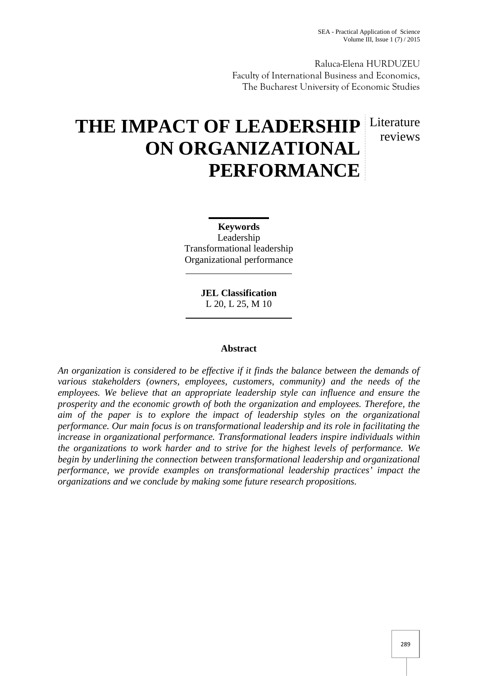reviews

Raluca-Elena HURDUZEU Faculty of International Business and Economics, The Bucharest University of Economic Studies

# THE IMPACT OF LEADERSHIP Literature **ON ORGANIZATIONAL PERFORMANCE**

**Keywords** Leadership Transformational leadership Organizational performance

> **JEL Classification** L 20, L 25, M 10

## **Abstract**

*An organization is considered to be effective if it finds the balance between the demands of various stakeholders (owners, employees, customers, community) and the needs of the employees. We believe that an appropriate leadership style can influence and ensure the prosperity and the economic growth of both the organization and employees. Therefore, the aim of the paper is to explore the impact of leadership styles on the organizational performance. Our main focus is on transformational leadership and its role in facilitating the increase in organizational performance. Transformational leaders inspire individuals within the organizations to work harder and to strive for the highest levels of performance. We begin by underlining the connection between transformational leadership and organizational performance, we provide examples on transformational leadership practices' impact the organizations and we conclude by making some future research propositions.*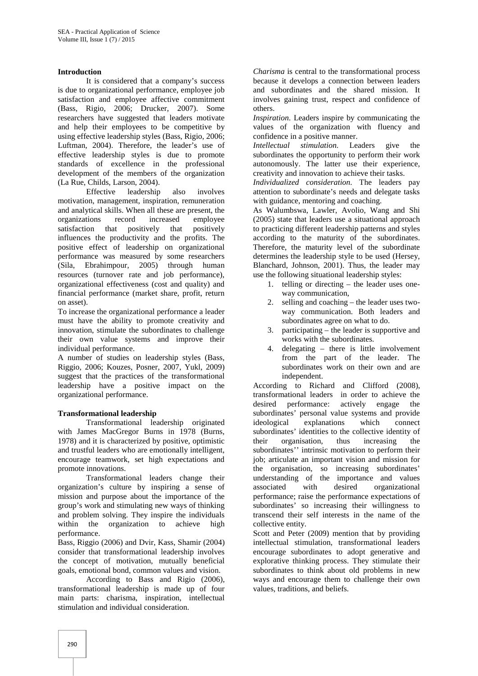## **Introduction**

It is considered that a company's success is due to organizational performance, employee job satisfaction and employee affective commitment (Bass, Rigio, 2006; Drucker, 2007). Some researchers have suggested that leaders motivate and help their employees to be competitive by using effective leadership styles (Bass, Rigio, 2006; Luftman, 2004). Therefore, the leader's use of effective leadership styles is due to promote standards of excellence in the professional development of the members of the organization (La Rue, Childs, Larson, 2004).

Effective leadership also involves motivation, management, inspiration, remuneration and analytical skills. When all these are present, the organizations record increased employee satisfaction that positively that positively influences the productivity and the profits. The positive effect of leadership on organizational performance was measured by some researchers (Sila, Ebrahimpour, 2005) through human resources (turnover rate and job performance), organizational effectiveness (cost and quality) and financial performance (market share, profit, return on asset).

To increase the organizational performance a leader must have the ability to promote creativity and innovation, stimulate the subordinates to challenge their own value systems and improve their individual performance.

A number of studies on leadership styles (Bass, Riggio, 2006; Kouzes, Posner, 2007, Yukl, 2009) suggest that the practices of the transformational leadership have a positive impact on the organizational performance.

## **Transformational leadership**

Transformational leadership originated with James MacGregor Burns in 1978 (Burns, 1978) and it is characterized by positive, optimistic and trustful leaders who are emotionally intelligent, encourage teamwork, set high expectations and promote innovations.

Transformational leaders change their organization's culture by inspiring a sense of mission and purpose about the importance of the group's work and stimulating new ways of thinking and problem solving. They inspire the individuals within the organization to achieve high performance.

Bass, Riggio (2006) and Dvir, Kass, Shamir (2004) consider that transformational leadership involves the concept of motivation, mutually beneficial goals, emotional bond, common values and vision.

According to Bass and Rigio (2006), transformational leadership is made up of four main parts: charisma, inspiration, intellectual stimulation and individual consideration.

*Charisma* is central to the transformational process because it develops a connection between leaders and subordinates and the shared mission. It involves gaining trust, respect and confidence of others.

*Inspiration*. Leaders inspire by communicating the values of the organization with fluency and confidence in a positive manner.

*Intellectual stimulation*. Leaders give the subordinates the opportunity to perform their work autonomously. The latter use their experience, creativity and innovation to achieve their tasks.

*Individualized consideration*. The leaders pay attention to subordinate's needs and delegate tasks with guidance, mentoring and coaching.

As Walumbswa, Lawler, Avolio, Wang and Shi (2005) state that leaders use a situational approach to practicing different leadership patterns and styles according to the maturity of the subordinates. Therefore, the maturity level of the subordinate determines the leadership style to be used (Hersey, Blanchard, Johnson, 2001). Thus, the leader may use the following situational leadership styles:

- 1. telling or directing the leader uses one way communication,
- 2. selling and coaching the leader uses two way communication. Both leaders and subordinates agree on what to do.
- 3. participating the leader is supportive and works with the subordinates.
- 4. delegating there is little involvement from the part of the leader. The subordinates work on their own and are independent.

According to Richard and Clifford (2008), transformational leaders in order to achieve the desired performance: actively engage the subordinates' personal value systems and provide explanations which connect subordinates' identities to the collective identity of their organisation, thus increasing the subordinates'' intrinsic motivation to perform their job; articulate an important vision and mission for the organisation, so increasing subordinates' understanding of the importance and values associated with desired organizational performance; raise the performance expectations of subordinates' so increasing their willingness to transcend their self interests in the name of the collective entity.

Scott and Peter (2009) mention that by providing intellectual stimulation, transformational leaders encourage subordinates to adopt generative and explorative thinking process. They stimulate their subordinates to think about old problems in new ways and encourage them to challenge their own values, traditions, and beliefs.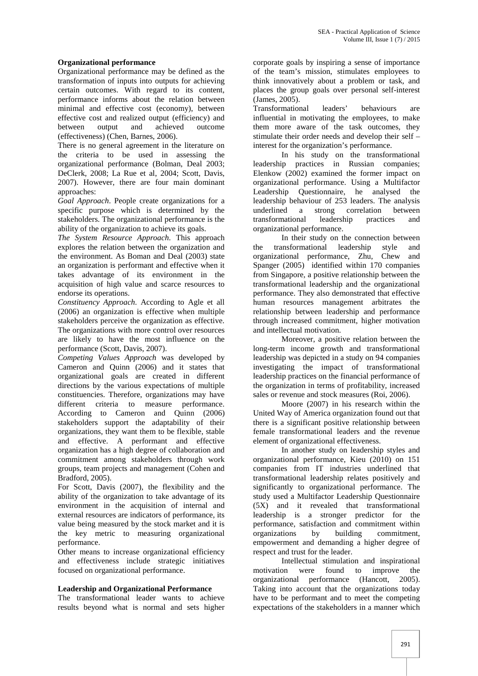## **Organizational performance**

Organizational performance may be defined as the transformation of inputs into outputs for achieving certain outcomes. With regard to its content, performance informs about the relation between minimal and effective cost (economy), between effective cost and realized output (efficiency) and<br>between output and achieved outcome achieved (effectiveness) (Chen, Barnes, 2006).

There is no general agreement in the literature on the criteria to be used in assessing the organizational performance (Bolman, Deal 2003; DeClerk, 2008; La Rue et al, 2004; Scott, Davis, 2007). However, there are four main dominant approaches:

*Goal Approach*. People create organizations for a specific purpose which is determined by the stakeholders. The organizational performance is the ability of the organization to achieve its goals.

*The System Resource Approach*. This approach explores the relation between the organization and the environment. As Boman and Deal (2003) state an organization is performant and effective when it takes advantage of its environment in the acquisition of high value and scarce resources to endorse its operations.

*Constituency Approach*. According to Agle et all (2006) an organization is effective when multiple stakeholders perceive the organization as effective. The organizations with more control over resources are likely to have the most influence on the performance (Scott, Davis, 2007).

*Competing Values Approach* was developed by Cameron and Quinn (2006) and it states that organizational goals are created in different directions by the various expectations of multiple constituencies. Therefore, organizations may have different criteria to measure performance. According to Cameron and Quinn (2006) stakeholders support the adaptability of their organizations, they want them to be flexible, stable and effective. A performant and effective organization has a high degree of collaboration and commitment among stakeholders through work groups, team projects and management (Cohen and Bradford, 2005).

For Scott, Davis (2007), the flexibility and the ability of the organization to take advantage of its environment in the acquisition of internal and external resources are indicators of performance, its value being measured by the stock market and it is the key metric to measuring organizational performance.

Other means to increase organizational efficiency and effectiveness include strategic initiatives focused on organizational performance.

### **Leadership and Organizational Performance**

The transformational leader wants to achieve results beyond what is normal and sets higher corporate goals by inspiring a sense of importance of the team's mission, stimulates employees to think innovatively about a problem or task, and places the group goals over personal self-interest (James, 2005).

Transformational leaders' behaviours are influential in motivating the employees, to make them more aware of the task outcomes, they stimulate their order needs and develop their self – interest for the organization's performance.

In his study on the transformational leadership practices in Russian companies; Elenkow (2002) examined the former impact on organizational performance. Using a Multifactor Leadership Questionnaire, he analysed the leadership behaviour of 253 leaders. The analysis underlined a strong correlation between<br>transformational leadership practices and transformational leadership practices and organizational performance.

In their study on the connection between transformational leadership style and organizational performance, Zhu, Chew and Spanger (2005) identified within 170 companies from Singapore, a positive relationship between the transformational leadership and the organizational performance. They also demonstrated that effective human resources management arbitrates the relationship between leadership and performance through increased commitment, higher motivation and intellectual motivation.

Moreover, a positive relation between the long-term income growth and transformational leadership was depicted in a study on 94 companies investigating the impact of transformational leadership practices on the financial performance of the organization in terms of profitability, increased sales or revenue and stock measures (Roi, 2006).

Moore (2007) in his research within the United Way of America organization found out that there is a significant positive relationship between female transformational leaders and the revenue element of organizational effectiveness.

In another study on leadership styles and organizational performance, Kieu (2010) on 151 companies from IT industries underlined that transformational leadership relates positively and significantly to organizational performance. The study used a Multifactor Leadership Questionnaire (5X) and it revealed that transformational leadership is a stronger predictor for the performance, satisfaction and commitment within organizations by building commitment, empowerment and demanding a higher degree of respect and trust for the leader.

Intellectual stimulation and inspirational motivation were found to improve the organizational performance (Hancott, 2005). Taking into account that the organizations today have to be performant and to meet the competing expectations of the stakeholders in a manner which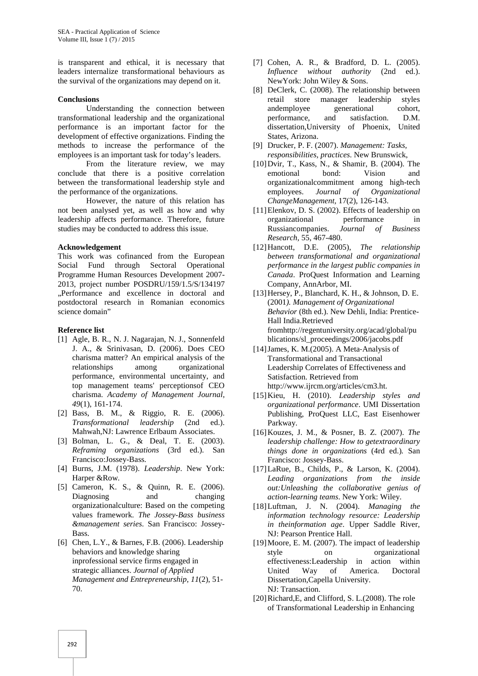is transparent and ethical, it is necessary that leaders internalize transformational behaviours as the survival of the organizations may depend on it.

#### **Conclusions**

Understanding the connection between transformational leadership and the organizational performance is an important factor for the development of effective organizations. Finding the methods to increase the performance of the employees is an important task for today's leaders.

From the literature review, we may conclude that there is a positive correlation between the transformational leadership style and the performance of the organizations.

However, the nature of this relation has not been analysed yet, as well as how and why leadership affects performance. Therefore, future studies may be conducted to address this issue.

#### **Acknowledgement**

This work was cofinanced from the European Social Fund through Sectoral Operational Programme Human Resources Development 2007- 2013, project number POSDRU/159/1.5/S/134197 "Performance and excellence in doctoral and postdoctoral research in Romanian economics science domain"

#### **Reference list**

- [1] Agle, B. R., N. J. Nagarajan, N. J., Sonnenfeld J. A., & Srinivasan, D. (2006). Does CEO charisma matter? An empirical analysis of the relationships among organizational performance, environmental uncertainty, and top management teams' perceptionsof CEO charisma. *Academy of Management Journal*, *49*(1), 161-174.
- [2] Bass, B. M., & Riggio, R. E. (2006). *Transformational leadership* (2nd ed.). Mahwah,NJ: Lawrence Erlbaum Associates.
- [3] Bolman, L. G., & Deal, T. E. (2003). *Reframing organizations* (3rd ed.). San Francisco:Jossey-Bass.
- [4] Burns, J.M. (1978). *Leadership*. New York: Harper &Row.
- [5] Cameron, K. S., & Quinn, R. E. (2006). Diagnosing and changing organizationalculture: Based on the competing values framework. *The Jossey-Bass business &management series*. San Francisco: Jossey- Bass.
- [6] Chen, L.Y., & Barnes, F.B. (2006). Leadership behaviors and knowledge sharing inprofessional service firms engaged in strategic alliances. *Journal of Applied Management and Entrepreneurship*, *11*(2), 51- 70.
- [7] Cohen, A. R., & Bradford, D. L. (2005). *Influence without authority* (2nd ed.). NewYork: John Wiley & Sons.
- [8] DeClerk, C. (2008). The relationship between retail store manager leadership styles andemployee generational cohort, performance, and satisfaction. D.M. dissertation,University of Phoenix, United States, Arizona.
- [9] Drucker, P. F. (2007). *Management: Tasks, responsibilities, practices*. New Brunswick,
- [10]Dvir, T., Kass, N., & Shamir, B. (2004). The emotional bond: Vision and organizationalcommitment among high-tech employees. *Journal of Organizational ChangeManagement,* 17(2), 126-143.
- [11]Elenkov, D. S. (2002). Effects of leadership on organizational performance in Russiancompanies. *Journal of Business Research,* 55, 467-480.
- [12]Hancott, D.E. (2005), *The relationship between transformational and organizational performance in the largest public companies in Canada*. ProQuest Information and Learning Company, AnnArbor, MI.
- [13]Hersey, P., Blanchard, K. H., & Johnson, D. E. (2001*). Management of Organizational Behavior* (8th ed.). New Dehli, India: Prentice- Hall India.Retrieved fromhttp://regentuniversity.org/acad/global/pu blications/sl\_proceedings/2006/jacobs.pdf
- [14]James, K. M.(2005). A Meta‐Analysis of Transformational and Transactional Leadership Correlates of Effectiveness and Satisfaction. Retrieved from http://www.ijrcm.org/articles/cm3.ht.
- [15]Kieu, H. (2010). *Leadership styles and organizational performance*. UMI Dissertation Publishing, ProQuest LLC, East Eisenhower Parkway.
- [16]Kouzes, J. M., & Posner, B. Z. (2007). *The leadership challenge: How to getextraordinary things done in organizations* (4rd ed.)*.* San Francisco: Jossey-Bass.
- [17]LaRue, B., Childs, P., & Larson, K. (2004). *Leading organizations from the inside out:Unleashing the collaborative genius of action-learning teams*. New York: Wiley.
- [18]Luftman, J. N. (2004). *Managing the information technology resource: Leadership in theinformation age*. Upper Saddle River, NJ: Pearson Prentice Hall.
- [19] Moore, E. M. (2007). The impact of leadership style on organizational effectiveness:Leadership in action within United Way of America. Doctoral Dissertation,Capella University. NJ: Transaction.
- [20]Richard,E, and Clifford, S. L.(2008). The role of Transformational Leadership in Enhancing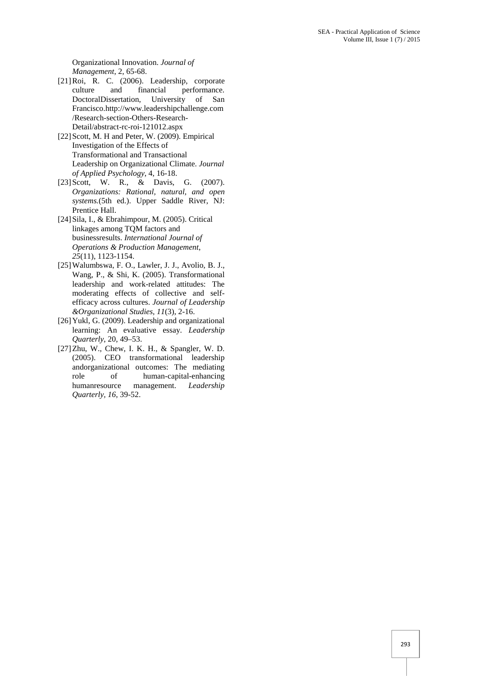Organizational Innovation. *Journal of Management*, 2, 65-68.

- [21]Roi, R. C. (2006). Leadership, corporate culture and financial performance. DoctoralDissertation, University of San Francisco.http://www.leadershipchallenge.com /Research-section-Others-Research- Detail/abstract-rc-roi-121012.aspx
- [22] Scott, M. H and Peter, W. (2009). Empirical Investigation of the Effects of Transformational and Transactional Leadership on Organizational Climate. *Journal of Applied Psychology*, 4, 16-18.
- [23] Scott, W. R., & Davis, G. (2007). *Organizations: Rational, natural, and open systems.*(5th ed.). Upper Saddle River, NJ: Prentice Hall.
- [24]Sila, I., & Ebrahimpour, M. (2005). Critical linkages among TQM factors and businessresults. *International Journal of Operations & Production Management*, *25*(11), 1123-1154.
- [25]Walumbswa, F. O., Lawler, J. J., Avolio, B. J., Wang, P., & Shi, K. (2005). Transformational leadership and work-related attitudes: The moderating effects of collective and self efficacy across cultures. *Journal of Leadership &Organizational Studies, 11*(3), 2-16.
- [26] Yukl, G. (2009). Leadership and organizational learning: An evaluative essay. *Leadership Quarterly*, 20, 49–53.
- [27]Zhu, W., Chew, I. K. H., & Spangler, W. D. (2005). CEO transformational leadership andorganizational outcomes: The mediating role of human-capital-enhancing humanresource management. *Leadership Quarterly, 16*, 39-52.